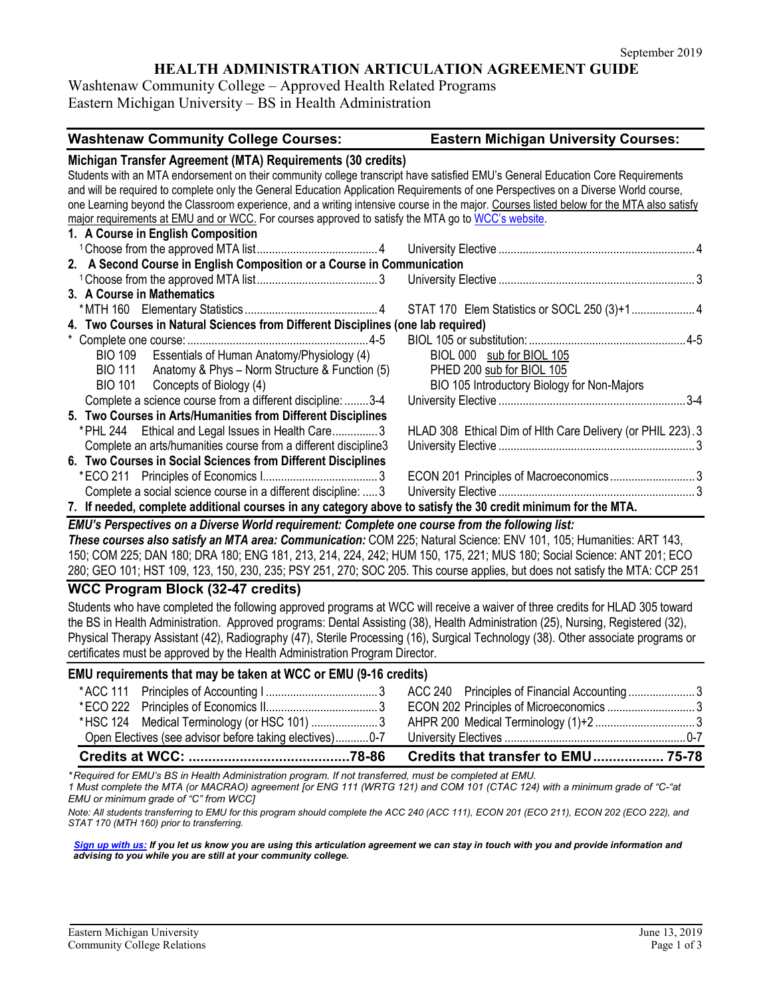## **HEALTH ADMINISTRATION ARTICULATION AGREEMENT GUIDE**

Washtenaw Community College – Approved Health Related Programs Eastern Michigan University – BS in Health Administration

| <b>Washtenaw Community College Courses:</b>                                                                                              | <b>Eastern Michigan University Courses:</b>                 |
|------------------------------------------------------------------------------------------------------------------------------------------|-------------------------------------------------------------|
| Michigan Transfer Agreement (MTA) Requirements (30 credits)                                                                              |                                                             |
| Students with an MTA endorsement on their community college transcript have satisfied EMU's General Education Core Requirements          |                                                             |
| and will be required to complete only the General Education Application Requirements of one Perspectives on a Diverse World course,      |                                                             |
| one Learning beyond the Classroom experience, and a writing intensive course in the major. Courses listed below for the MTA also satisfy |                                                             |
| major requirements at EMU and or WCC. For courses approved to satisfy the MTA go to WCC's website.                                       |                                                             |
| 1. A Course in English Composition                                                                                                       |                                                             |
|                                                                                                                                          |                                                             |
| 2. A Second Course in English Composition or a Course in Communication                                                                   |                                                             |
|                                                                                                                                          |                                                             |
| 3. A Course in Mathematics                                                                                                               |                                                             |
|                                                                                                                                          |                                                             |
| 4. Two Courses in Natural Sciences from Different Disciplines (one lab required)                                                         |                                                             |
|                                                                                                                                          |                                                             |
| BIO 109 Essentials of Human Anatomy/Physiology (4)                                                                                       | BIOL 000 sub for BIOL 105                                   |
| BIO 111 Anatomy & Phys - Norm Structure & Function (5)                                                                                   | PHED 200 sub for BIOL 105                                   |
| BIO 101 Concepts of Biology (4)                                                                                                          | BIO 105 Introductory Biology for Non-Majors                 |
| Complete a science course from a different discipline:  3-4                                                                              |                                                             |
| 5. Two Courses in Arts/Humanities from Different Disciplines                                                                             |                                                             |
| * PHL 244 Ethical and Legal Issues in Health Care3                                                                                       | HLAD 308 Ethical Dim of HIth Care Delivery (or PHIL 223). 3 |
| Complete an arts/humanities course from a different discipline3                                                                          |                                                             |
| 6. Two Courses in Social Sciences from Different Disciplines                                                                             |                                                             |
|                                                                                                                                          | ECON 201 Principles of Macroeconomics3                      |
| Complete a social science course in a different discipline:  3                                                                           |                                                             |
| 7. If needed, complete additional courses in any category above to satisfy the 30 credit minimum for the MTA.                            |                                                             |

*EMU's Perspectives on a Diverse World requirement: Complete one course from the following list: These courses also satisfy an MTA area: Communication:* COM 225; Natural Science: ENV 101, 105; Humanities: ART 143, 150; COM 225; DAN 180; DRA 180; ENG 181, 213, 214, 224, 242; HUM 150, 175, 221; MUS 180; Social Science: ANT 201; ECO 280; GEO 101; HST 109, 123, 150, 230, 235; PSY 251, 270; SOC 205. This course applies, but does not satisfy the MTA: CCP 251

#### **WCC Program Block (32-47 credits)**

Students who have completed the following approved programs at WCC will receive a waiver of three credits for HLAD 305 toward the BS in Health Administration. Approved programs: Dental Assisting (38), Health Administration (25), Nursing, Registered (32), Physical Therapy Assistant (42), Radiography (47), Sterile Processing (16), Surgical Technology (38). Other associate programs or certificates must be approved by the Health Administration Program Director.

#### **EMU requirements that may be taken at WCC or EMU (9-16 credits)**

| *HSC 124 Medical Terminology (or HSC 101) 3 |  |  |
|---------------------------------------------|--|--|
|                                             |  |  |
|                                             |  |  |
|                                             |  |  |

*\* Required for EMU's BS in Health Administration program. If not transferred, must be completed at EMU.* 

*1 Must complete the MTA (or MACRAO) agreement [or ENG 111 (WRTG 121) and COM 101 (CTAC 124) with a minimum grade of "C-"at EMU or minimum grade of "C" from WCC]*

*Note: All students transferring to EMU for this program should complete the ACC 240 (ACC 111), ECON 201 (ECO 211), ECON 202 (ECO 222), and STAT 170 (MTH 160) prior to transferring.* 

*[Sign up with us:](https://www.emich.edu/ccr/articulation-agreements/signup.php) If you let us know you are using this articulation agreement we can stay in touch with you and provide information and advising to you while you are still at your community college.*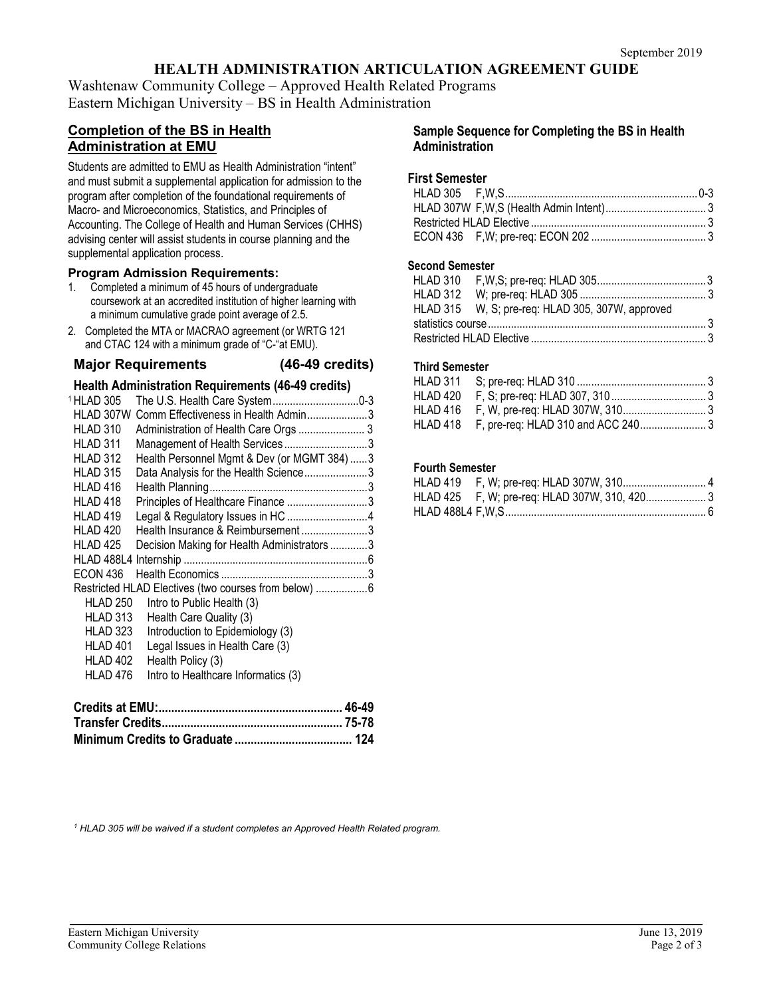# **HEALTH ADMINISTRATION ARTICULATION AGREEMENT GUIDE**

Washtenaw Community College – Approved Health Related Programs Eastern Michigan University – BS in Health Administration

## **Completion of the BS in Health Administration at EMU**

Students are admitted to EMU as Health Administration "intent" and must submit a supplemental application for admission to the program after completion of the foundational requirements of Macro- and Microeconomics, Statistics, and Principles of Accounting. The College of Health and Human Services (CHHS) advising center will assist students in course planning and the supplemental application process.

#### **Program Admission Requirements:**

- 1. Completed a minimum of 45 hours of undergraduate coursework at an accredited institution of higher learning with a minimum cumulative grade point average of 2.5.
- 2. Completed the MTA or MACRAO agreement (or WRTG 121 and CTAC 124 with a minimum grade of "C-"at EMU).

#### **Major Requirements (46-49 credits)**

#### **Health Administration Requirements (46-49 credits)**

| 1 HLAD 305          | The U.S. Health Care System0-3                        |  |
|---------------------|-------------------------------------------------------|--|
| HLAD 307W           | Comm Effectiveness in Health Admin3                   |  |
| HLAD 310            | Administration of Health Care Orgs  3                 |  |
| HLAD 311            | Management of Health Services3                        |  |
| HLAD 312            | Health Personnel Mgmt & Dev (or MGMT 384)3            |  |
| HLAD 315            | Data Analysis for the Health Science3                 |  |
| HLAD 416            |                                                       |  |
| HLAD 418            | Principles of Healthcare Finance 3                    |  |
| HLAD 419            | Legal & Regulatory Issues in HC 4                     |  |
| HLAD 420            | Health Insurance & Reimbursement3                     |  |
| HLAD <sub>425</sub> | Decision Making for Health Administrators 3           |  |
| <b>HLAD 488L4</b>   |                                                       |  |
| <b>ECON 436</b>     |                                                       |  |
|                     | Restricted HLAD Electives (two courses from below)  6 |  |
| <b>HLAD 250</b>     | Intro to Public Health (3)                            |  |
| HLAD 313            | Health Care Quality (3)                               |  |
| HLAD 323            | Introduction to Epidemiology (3)                      |  |
| HLAD 401            | Legal Issues in Health Care (3)                       |  |
| HLAD 402            | Health Policy (3)                                     |  |
| HLAD 476            | Intro to Healthcare Informatics (3)                   |  |
|                     |                                                       |  |
|                     |                                                       |  |

#### **Sample Sequence for Completing the BS in Health Administration**

#### **First Semester**

#### **Second Semester**

| HLAD 315 W, S; pre-req: HLAD 305, 307W, approved |  |
|--------------------------------------------------|--|
|                                                  |  |
|                                                  |  |

#### **Third Semester**

| HLAD 418 F, pre-req: HLAD 310 and ACC 2403 |  |
|--------------------------------------------|--|

#### **Fourth Semester**

*<sup>1</sup> HLAD 305 will be waived if a student completes an Approved Health Related program.*